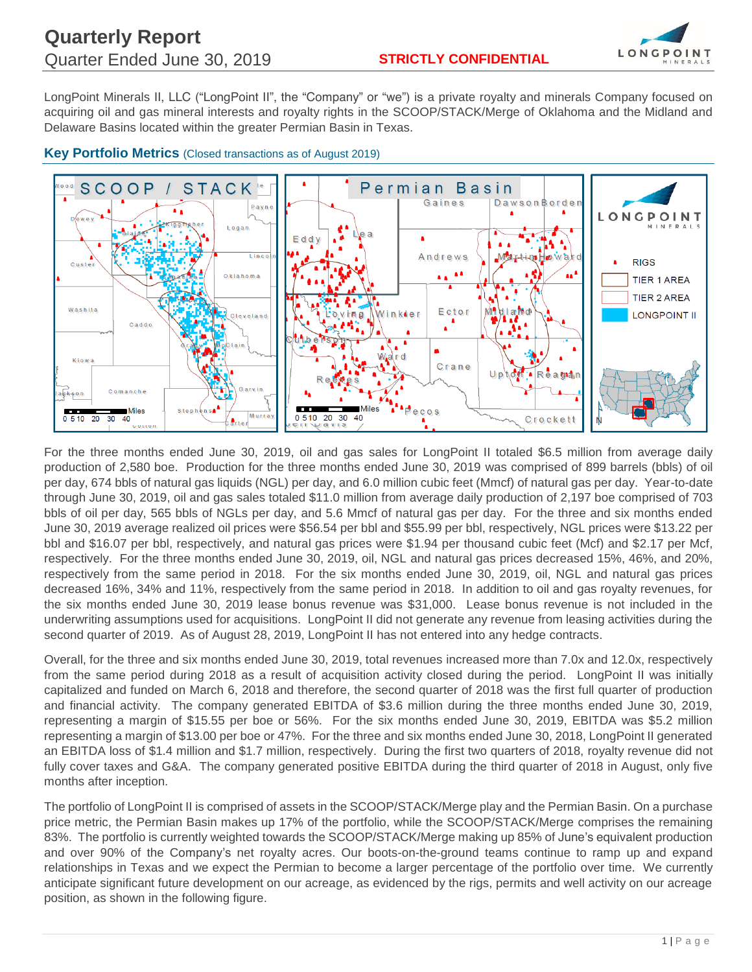

LongPoint Minerals II, LLC ("LongPoint II", the "Company" or "we") is a private royalty and minerals Company focused on acquiring oil and gas mineral interests and royalty rights in the SCOOP/STACK/Merge of Oklahoma and the Midland and Delaware Basins located within the greater Permian Basin in Texas.



## **Key Portfolio Metrics** (Closed transactions as of August 2019)

For the three months ended June 30, 2019, oil and gas sales for LongPoint II totaled \$6.5 million from average daily production of 2,580 boe. Production for the three months ended June 30, 2019 was comprised of 899 barrels (bbls) of oil per day, 674 bbls of natural gas liquids (NGL) per day, and 6.0 million cubic feet (Mmcf) of natural gas per day. Year-to-date through June 30, 2019, oil and gas sales totaled \$11.0 million from average daily production of 2,197 boe comprised of 703 bbls of oil per day, 565 bbls of NGLs per day, and 5.6 Mmcf of natural gas per day. For the three and six months ended June 30, 2019 average realized oil prices were \$56.54 per bbl and \$55.99 per bbl, respectively, NGL prices were \$13.22 per bbl and \$16.07 per bbl, respectively, and natural gas prices were \$1.94 per thousand cubic feet (Mcf) and \$2.17 per Mcf, respectively. For the three months ended June 30, 2019, oil, NGL and natural gas prices decreased 15%, 46%, and 20%, respectively from the same period in 2018. For the six months ended June 30, 2019, oil, NGL and natural gas prices decreased 16%, 34% and 11%, respectively from the same period in 2018. In addition to oil and gas royalty revenues, for the six months ended June 30, 2019 lease bonus revenue was \$31,000. Lease bonus revenue is not included in the underwriting assumptions used for acquisitions. LongPoint II did not generate any revenue from leasing activities during the second quarter of 2019. As of August 28, 2019, LongPoint II has not entered into any hedge contracts.

Overall, for the three and six months ended June 30, 2019, total revenues increased more than 7.0x and 12.0x, respectively from the same period during 2018 as a result of acquisition activity closed during the period. LongPoint II was initially capitalized and funded on March 6, 2018 and therefore, the second quarter of 2018 was the first full quarter of production and financial activity. The company generated EBITDA of \$3.6 million during the three months ended June 30, 2019, representing a margin of \$15.55 per boe or 56%. For the six months ended June 30, 2019, EBITDA was \$5.2 million representing a margin of \$13.00 per boe or 47%. For the three and six months ended June 30, 2018, LongPoint II generated an EBITDA loss of \$1.4 million and \$1.7 million, respectively. During the first two quarters of 2018, royalty revenue did not fully cover taxes and G&A. The company generated positive EBITDA during the third quarter of 2018 in August, only five months after inception.

The portfolio of LongPoint II is comprised of assets in the SCOOP/STACK/Merge play and the Permian Basin. On a purchase price metric, the Permian Basin makes up 17% of the portfolio, while the SCOOP/STACK/Merge comprises the remaining 83%. The portfolio is currently weighted towards the SCOOP/STACK/Merge making up 85% of June's equivalent production and over 90% of the Company's net royalty acres. Our boots-on-the-ground teams continue to ramp up and expand relationships in Texas and we expect the Permian to become a larger percentage of the portfolio over time. We currently anticipate significant future development on our acreage, as evidenced by the rigs, permits and well activity on our acreage position, as shown in the following figure.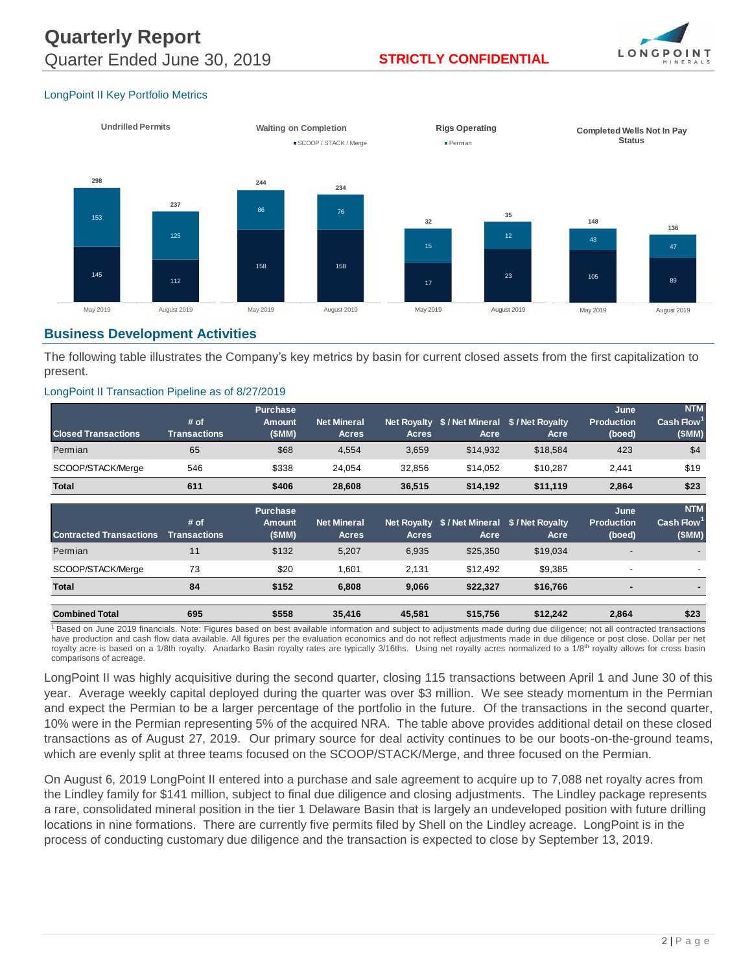

### *LongPoint II Key Portfolio Metrics*



## **Business Development Activities**

The following table illustrates the Company's key metrics by basin for current closed assets from the first capitalization to present.

#### *LongPoint II Transaction Pipeline as of 8/27/2019*

| ongPoint II Transaction Pipeline as of 8/27/2019 |                             |                                           |                                    |                                    |          |                                       |                                     |                                               |
|--------------------------------------------------|-----------------------------|-------------------------------------------|------------------------------------|------------------------------------|----------|---------------------------------------|-------------------------------------|-----------------------------------------------|
| <b>Closed Transactions</b>                       | # of<br><b>Transactions</b> | <b>Purchase</b><br><b>Amount</b><br>(SMM) | <b>Net Mineral</b><br><b>Acres</b> | Net Royalty<br><b>Acres</b>        | Acre     | \$/Net Mineral \$/Net Royalty<br>Acre | June<br><b>Production</b><br>(boed) | <b>NTM</b><br>Cash Flow <sup>1</sup><br>(SMM) |
| Permian                                          | 65                          | \$68                                      | 4,554                              | 3,659                              | \$14,932 | \$18,584                              | 423                                 | \$4                                           |
| SCOOP/STACK/Merge                                | 546                         | \$338                                     | 24,054                             | 32,856                             | \$14,052 | \$10,287                              | 2,441                               | \$19                                          |
| <b>Total</b>                                     | 611                         | \$406                                     | 28,608                             | 36,515                             | \$14,192 | \$11,119                              | 2,864                               | \$23                                          |
|                                                  |                             |                                           |                                    |                                    |          |                                       |                                     |                                               |
| <b>Contracted Transactions</b>                   | # of<br><b>Transactions</b> | <b>Purchase</b><br>Amount<br>(SMM)        | <b>Net Mineral</b><br><b>Acres</b> | <b>Net Royalty</b><br><b>Acres</b> | Acre     | \$/Net Mineral \$/Net Royalty<br>Acre | June<br><b>Production</b><br>(boed) | <b>NTM</b><br>Cash Flow<br>(SMM)              |
| Permian                                          | 11                          | \$132                                     | 5,207                              | 6,935                              | \$25,350 | \$19,034                              |                                     |                                               |
| SCOOP/STACK/Merge                                | 73                          | \$20                                      | 1,601                              | 2,131                              | \$12,492 | \$9,385                               |                                     |                                               |
| <b>Total</b>                                     | 84                          | \$152                                     | 6,808                              | 9,066                              | \$22,327 | \$16,766                              | $\overline{\phantom{0}}$            |                                               |

<sup>1</sup> Based on June 2019 financials. Note: Figures based on best available information and subject to adjustments made during due diligence; not all contracted transactions have production and cash flow data available. All figures per the evaluation economics and do not reflect adjustments made in due diligence or post close. Dollar per net royalty acre is based on a 1/8th royalty. Anadarko Basin royalty rates are typically 3/16ths. Using net royalty acres normalized to a 1/8<sup>th</sup> royalty allows for cross basin comparisons of acreage.

LongPoint II was highly acquisitive during the second quarter, closing 115 transactions between April 1 and June 30 of this year. Average weekly capital deployed during the quarter was over \$3 million. We see steady momentum in the Permian and expect the Permian to be a larger percentage of the portfolio in the future. Of the transactions in the second quarter, 10% were in the Permian representing 5% of the acquired NRA. The table above provides additional detail on these closed transactions as of August 27, 2019. Our primary source for deal activity continues to be our boots-on-the-ground teams, which are evenly split at three teams focused on the SCOOP/STACK/Merge, and three focused on the Permian.

On August 6, 2019 LongPoint II entered into a purchase and sale agreement to acquire up to 7,088 net royalty acres from the Lindley family for \$141 million, subject to final due diligence and closing adjustments. The Lindley package represents a rare, consolidated mineral position in the tier 1 Delaware Basin that is largely an undeveloped position with future drilling locations in nine formations. There are currently five permits filed by Shell on the Lindley acreage. LongPoint is in the process of conducting customary due diligence and the transaction is expected to close by September 13, 2019.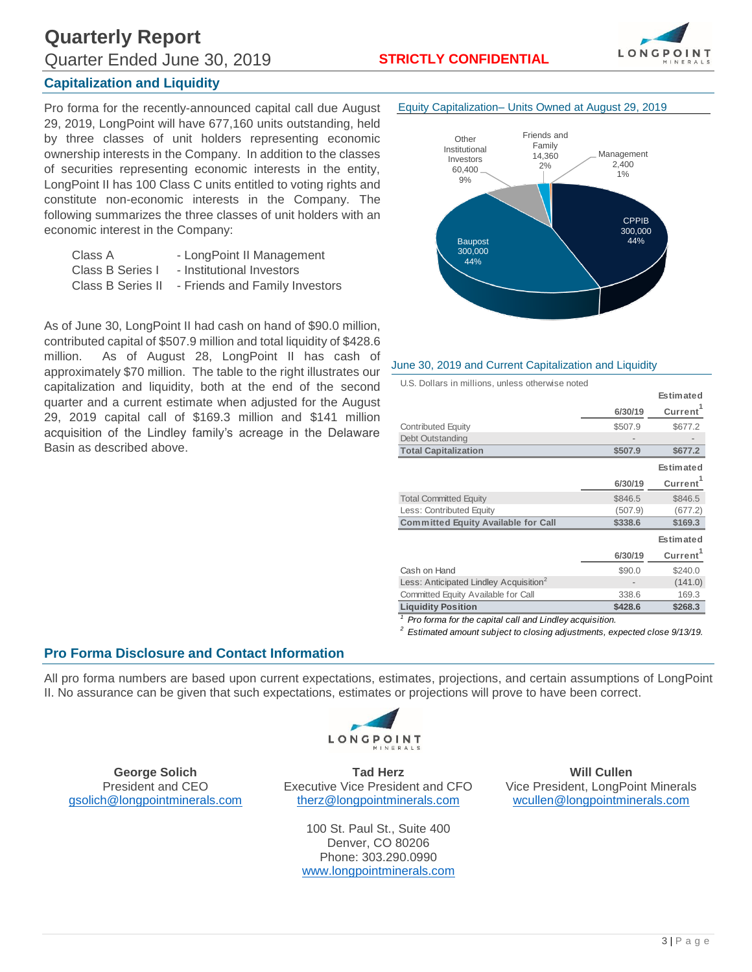# **Quarterly Report** Quarter Ended June 30, 2019 **STRICTLY CONFIDENTIAL**



## **Capitalization and Liquidity**

Pro forma for the recently-announced capital call due August 29, 2019, LongPoint will have 677,160 units outstanding, held by three classes of unit holders representing economic ownership interests in the Company. In addition to the classes of securities representing economic interests in the entity, LongPoint II has 100 Class C units entitled to voting rights and constitute non-economic interests in the Company. The following summarizes the three classes of unit holders with an economic interest in the Company:

| Class A           | - LongPoint II Management      |
|-------------------|--------------------------------|
| Class B Series I  | - Institutional Investors      |
| Class B Series II | - Friends and Family Investors |

As of June 30, LongPoint II had cash on hand of \$90.0 million, contributed capital of \$507.9 million and total liquidity of \$428.6 million. As of August 28, LongPoint II has cash of approximately \$70 million. The table to the right illustrates our capitalization and liquidity, both at the end of the second quarter and a current estimate when adjusted for the August 29, 2019 capital call of \$169.3 million and \$141 million acquisition of the Lindley family's acreage in the Delaware Basin as described above.



#### *June 30, 2019 and Current Capitalization and Liquidity*

*U.S. Dollars in millions, unless otherwise noted*

|                                                        |         | <b>Estimated</b>     |
|--------------------------------------------------------|---------|----------------------|
|                                                        | 6/30/19 | Current <sup>1</sup> |
| Contributed Equity                                     | \$507.9 | \$677.2              |
| Debt Outstanding                                       |         |                      |
| <b>Total Capitalization</b>                            | \$507.9 | \$677.2              |
|                                                        |         | <b>Estimated</b>     |
|                                                        | 6/30/19 | Current <sup>1</sup> |
| <b>Total Committed Equity</b>                          | \$846.5 | \$846.5              |
| Less: Contributed Equity                               | (507.9) | (677.2)              |
| <b>Committed Equity Available for Call</b>             | \$338.6 | \$169.3              |
|                                                        |         | <b>Estimated</b>     |
|                                                        | 6/30/19 | <b>Current</b>       |
| Cash on Hand                                           | \$90.0  | \$240.0              |
| Less: Anticipated Lindley Acquisition <sup>2</sup>     |         | (141.0)              |
| Committed Equity Available for Call                    | 338.6   | 169.3                |
| <b>Liquidity Position</b>                              | \$428.6 | \$268.3              |
| Pro forma for the capital call and Lindley acquisition |         |                      |

 *Pro forma for the capital call and Lindley acquisition.*

*2 Estimated amount subject to closing adjustments, expected close 9/13/19.*

### *Pro Forma Disclosure and Contact Information*

All pro forma numbers are based upon current expectations, estimates, projections, and certain assumptions of LongPoint II. No assurance can be given that such expectations, estimates or projections will prove to have been correct.



**George Solich Tad Herz Will Cullen** [gsolich@longpointminerals.com](mailto:gsolich@longpointminerals.com) [therz@longpointminerals.com](mailto:therz@longpointminerals.com) [wcullen@longpointminerals.com](mailto:wcullen@longpointminerals.com)

> 100 St. Paul St., Suite 400 Denver, CO 80206 Phone: 303.290.0990 [www.longpointminerals.com](http://www.longpointminerals.com/)

*President and CEO Executive Vice President and CFO Vice President, LongPoint Minerals*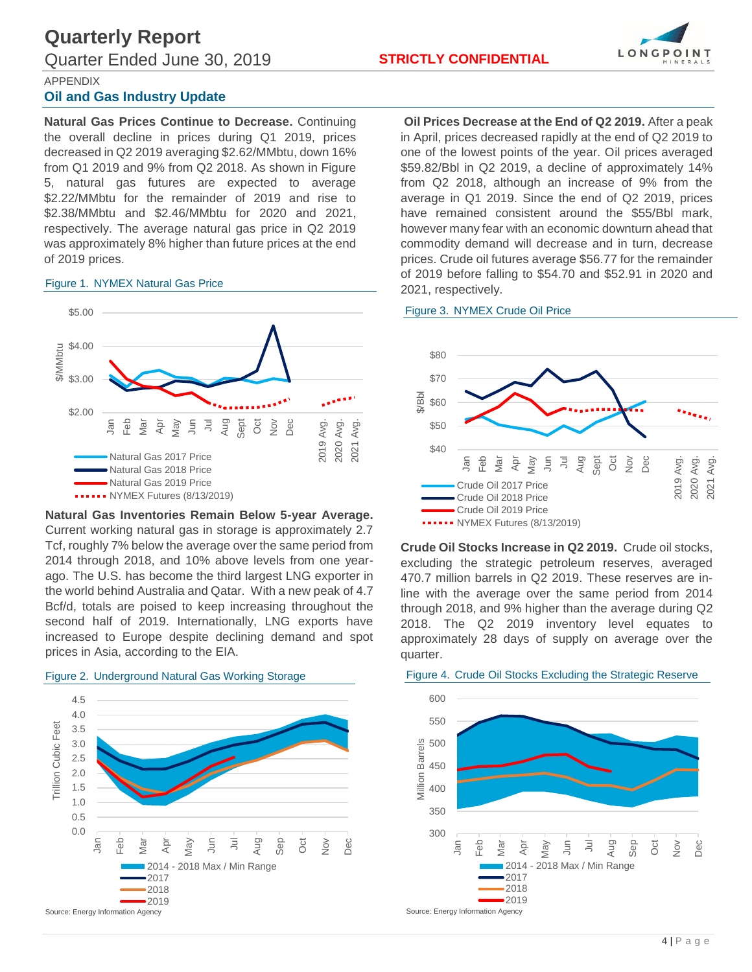

APPENDIX

### *Oil and Gas Industry Update*

**Natural Gas Prices Continue to Decrease.** Continuing the overall decline in prices during Q1 2019, prices decreased in Q2 2019 averaging \$2.62/MMbtu, down 16% from Q1 2019 and 9% from Q2 2018. As shown in Figure 5, natural gas futures are expected to average \$2.22/MMbtu for the remainder of 2019 and rise to \$2.38/MMbtu and \$2.46/MMbtu for 2020 and 2021, respectively. The average natural gas price in Q2 2019 was approximately 8% higher than future prices at the end of 2019 prices.

### *Figure 1. NYMEX Natural Gas Price*



**Natural Gas Inventories Remain Below 5-year Average.** Current working natural gas in storage is approximately 2.7 Tcf, roughly 7% below the average over the same period from 2014 through 2018, and 10% above levels from one yearago. The U.S. has become the third largest LNG exporter in the world behind Australia and Qatar. With a new peak of 4.7 Bcf/d, totals are poised to keep increasing throughout the second half of 2019. Internationally, LNG exports have increased to Europe despite declining demand and spot prices in Asia, according to the EIA.



**Oil Prices Decrease at the End of Q2 2019.** After a peak in April, prices decreased rapidly at the end of Q2 2019 to one of the lowest points of the year. Oil prices averaged \$59.82/Bbl in Q2 2019, a decline of approximately 14% from Q2 2018, although an increase of 9% from the average in Q1 2019. Since the end of Q2 2019, prices have remained consistent around the \$55/Bbl mark, however many fear with an economic downturn ahead that commodity demand will decrease and in turn, decrease prices. Crude oil futures average \$56.77 for the remainder of 2019 before falling to \$54.70 and \$52.91 in 2020 and 2021, respectively.





**Crude Oil Stocks Increase in Q2 2019.** Crude oil stocks, excluding the strategic petroleum reserves, averaged 470.7 million barrels in Q2 2019. These reserves are inline with the average over the same period from 2014 through 2018, and 9% higher than the average during Q2 2018. The Q2 2019 inventory level equates to approximately 28 days of supply on average over the quarter.

#### *Figure 4. Crude Oil Stocks Excluding the Strategic Reserve*

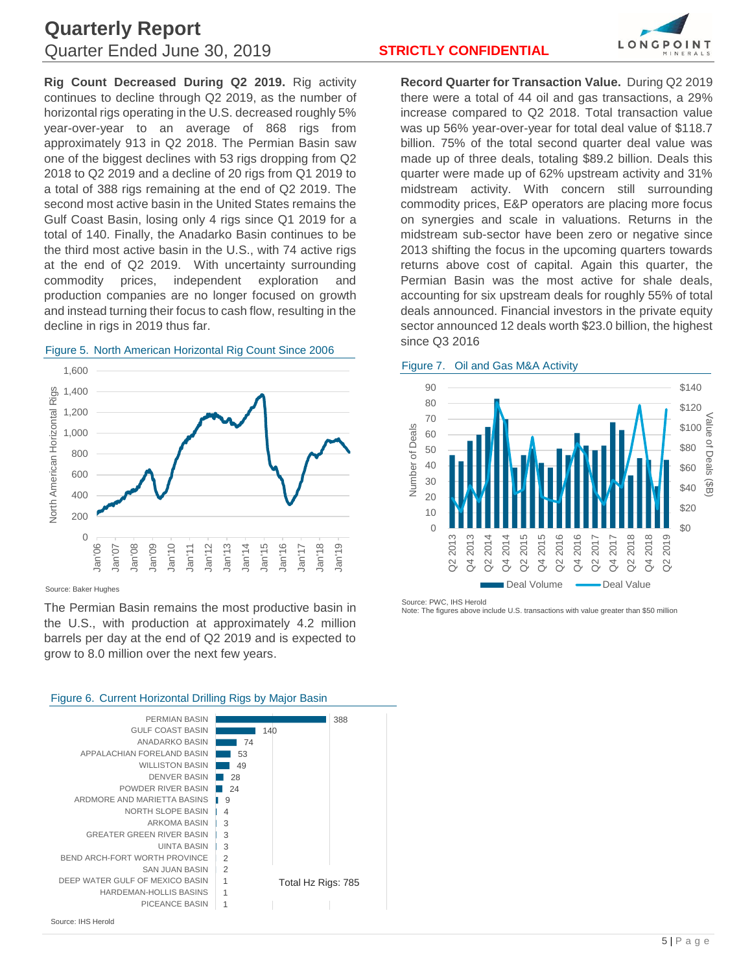# **Quarterly Report** Quarter Ended June 30, 2019 **STRICTLY CONFIDENTIAL**

**Rig Count Decreased During Q2 2019.** Rig activity continues to decline through Q2 2019, as the number of horizontal rigs operating in the U.S. decreased roughly 5% year-over-year to an average of 868 rigs from approximately 913 in Q2 2018. The Permian Basin saw one of the biggest declines with 53 rigs dropping from Q2 2018 to Q2 2019 and a decline of 20 rigs from Q1 2019 to a total of 388 rigs remaining at the end of Q2 2019. The second most active basin in the United States remains the Gulf Coast Basin, losing only 4 rigs since Q1 2019 for a total of 140. Finally, the Anadarko Basin continues to be the third most active basin in the U.S., with 74 active rigs at the end of Q2 2019. With uncertainty surrounding commodity prices, independent exploration and production companies are no longer focused on growth and instead turning their focus to cash flow, resulting in the decline in rigs in 2019 thus far.



## *Figure 5. North American Horizontal Rig Count Since 2006*

Source: Baker Hughes

The Permian Basin remains the most productive basin in the U.S., with production at approximately 4.2 million barrels per day at the end of Q2 2019 and is expected to grow to 8.0 million over the next few years.

#### PERMIAN BASIN 388 GULF COAST BASIN 140 ANADARKO BASIN 74 APPALACHIAN FORELAND BASIN 53 WILLISTON BASIN 49 DENVER BASIN **Contract** 28 POWDER RIVER BASIN | 24 9 ARDMORE AND MARIETTA BASINS NORTH SLOPE BASIN  $|4$ ARKOMA BASIN 3 GREATER GREEN RIVER BASIN 3 UINTA BASIN 3 BEND ARCH-FORT WORTH PROVINCE 2 SAN JUAN BASIN  $\mathcal{D}$ DEEP WATER GULF OF MEXICO BASIN 1 Total Hz Rigs: 785HARDEMAN-HOLLIS BASINS 1 PICEANCE BASIN 1

*Figure 6. Current Horizontal Drilling Rigs by Major Basin*



**Record Quarter for Transaction Value.** During Q2 2019 there were a total of 44 oil and gas transactions, a 29% increase compared to Q2 2018. Total transaction value was up 56% year-over-year for total deal value of \$118.7 billion. 75% of the total second quarter deal value was made up of three deals, totaling \$89.2 billion. Deals this quarter were made up of 62% upstream activity and 31% midstream activity. With concern still surrounding commodity prices, E&P operators are placing more focus on synergies and scale in valuations. Returns in the midstream sub-sector have been zero or negative since 2013 shifting the focus in the upcoming quarters towards returns above cost of capital. Again this quarter, the Permian Basin was the most active for shale deals, accounting for six upstream deals for roughly 55% of total deals announced. Financial investors in the private equity sector announced 12 deals worth \$23.0 billion, the highest since Q3 2016

*Figure 7. Oil and Gas M&A Activity*



Source: PWC, IHS Herold Note: The figures above include U.S. transactions with value greater than \$50 million

Source: IHS Herold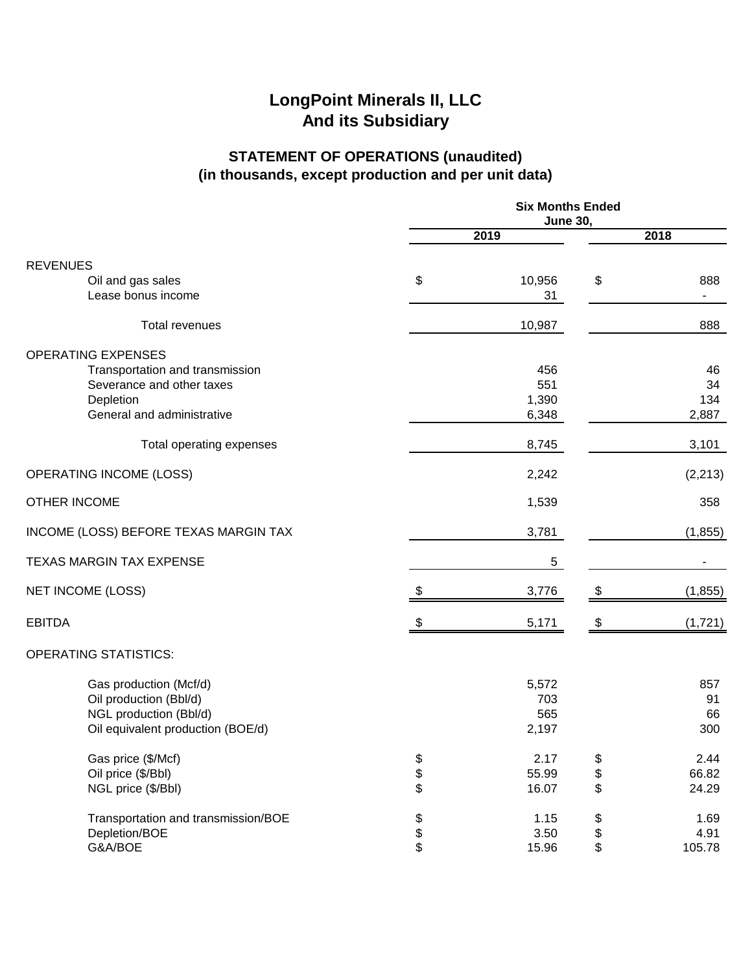# **STATEMENT OF OPERATIONS (unaudited) (in thousands, except production and per unit data)**

|                                                                                                                 | <b>Six Months Ended</b><br><b>June 30,</b> |                              |                |                        |
|-----------------------------------------------------------------------------------------------------------------|--------------------------------------------|------------------------------|----------------|------------------------|
|                                                                                                                 | 2019                                       |                              | 2018           |                        |
|                                                                                                                 |                                            |                              |                |                        |
| <b>REVENUES</b><br>Oil and gas sales<br>Lease bonus income                                                      | \$                                         | 10,956<br>31                 | \$             | 888                    |
| <b>Total revenues</b>                                                                                           |                                            | 10,987                       |                | 888                    |
| <b>OPERATING EXPENSES</b><br>Transportation and transmission<br>Severance and other taxes<br>Depletion          |                                            | 456<br>551<br>1,390          |                | 46<br>34<br>134        |
| General and administrative                                                                                      |                                            | 6,348                        |                | 2,887                  |
| Total operating expenses                                                                                        |                                            | 8,745                        |                | 3,101                  |
| <b>OPERATING INCOME (LOSS)</b>                                                                                  |                                            | 2,242                        |                | (2, 213)               |
| OTHER INCOME                                                                                                    |                                            | 1,539                        |                | 358                    |
| INCOME (LOSS) BEFORE TEXAS MARGIN TAX                                                                           |                                            | 3,781                        |                | (1, 855)               |
| <b>TEXAS MARGIN TAX EXPENSE</b>                                                                                 |                                            | 5                            |                |                        |
| <b>NET INCOME (LOSS)</b>                                                                                        | \$.                                        | 3,776                        | S              | (1, 855)               |
| <b>EBITDA</b>                                                                                                   |                                            | 5,171                        | \$             | (1, 721)               |
| <b>OPERATING STATISTICS:</b>                                                                                    |                                            |                              |                |                        |
| Gas production (Mcf/d)<br>Oil production (Bbl/d)<br>NGL production (Bbl/d)<br>Oil equivalent production (BOE/d) |                                            | 5,572<br>703<br>565<br>2,197 |                | 857<br>91<br>66<br>300 |
| Gas price (\$/Mcf)<br>Oil price (\$/Bbl)<br>NGL price (\$/Bbl)                                                  | \$<br>\$                                   | 2.17<br>55.99<br>16.07       | \$<br>\$<br>\$ | 2.44<br>66.82<br>24.29 |
| Transportation and transmission/BOE<br>Depletion/BOE<br>G&A/BOE                                                 | \$<br>\$                                   | 1.15<br>3.50<br>15.96        | \$<br>\$<br>\$ | 1.69<br>4.91<br>105.78 |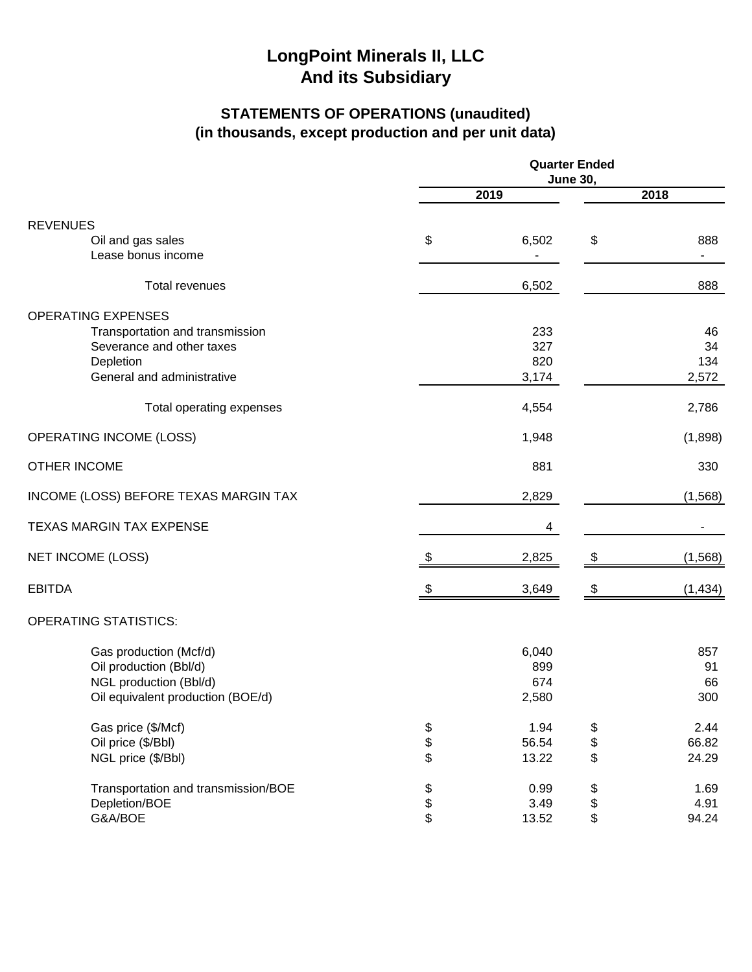# **STATEMENTS OF OPERATIONS (unaudited) (in thousands, except production and per unit data)**

|                                                                                                                 | <b>Quarter Ended</b><br><b>June 30,</b> |                              |                                                       |                                 |
|-----------------------------------------------------------------------------------------------------------------|-----------------------------------------|------------------------------|-------------------------------------------------------|---------------------------------|
|                                                                                                                 | 2019                                    |                              | 2018                                                  |                                 |
| <b>REVENUES</b>                                                                                                 |                                         |                              |                                                       |                                 |
| Oil and gas sales<br>Lease bonus income                                                                         | \$                                      | 6,502                        | \$                                                    | 888<br>$\overline{\phantom{a}}$ |
| Total revenues                                                                                                  |                                         | 6,502                        |                                                       | 888                             |
| <b>OPERATING EXPENSES</b><br>Transportation and transmission<br>Severance and other taxes                       |                                         | 233<br>327                   |                                                       | 46<br>34                        |
| Depletion<br>General and administrative                                                                         |                                         | 820<br>3,174                 |                                                       | 134<br>2,572                    |
| Total operating expenses                                                                                        |                                         | 4,554                        |                                                       | 2,786                           |
| <b>OPERATING INCOME (LOSS)</b>                                                                                  |                                         | 1,948                        |                                                       | (1,898)                         |
| <b>OTHER INCOME</b>                                                                                             |                                         | 881                          |                                                       | 330                             |
| INCOME (LOSS) BEFORE TEXAS MARGIN TAX                                                                           |                                         | 2,829                        |                                                       | (1,568)                         |
| <b>TEXAS MARGIN TAX EXPENSE</b>                                                                                 |                                         | 4                            |                                                       |                                 |
| <b>NET INCOME (LOSS)</b>                                                                                        | \$                                      | 2,825                        | \$                                                    | (1, 568)                        |
| <b>EBITDA</b>                                                                                                   |                                         | 3,649                        |                                                       | (1, 434)                        |
| <b>OPERATING STATISTICS:</b>                                                                                    |                                         |                              |                                                       |                                 |
| Gas production (Mcf/d)<br>Oil production (Bbl/d)<br>NGL production (Bbl/d)<br>Oil equivalent production (BOE/d) |                                         | 6,040<br>899<br>674<br>2,580 |                                                       | 857<br>91<br>66<br>300          |
| Gas price (\$/Mcf)<br>Oil price (\$/Bbl)<br>NGL price (\$/Bbl)                                                  | \$<br>\$                                | 1.94<br>56.54<br>13.22       | \$<br>\$<br>\$                                        | 2.44<br>66.82<br>24.29          |
| Transportation and transmission/BOE<br>Depletion/BOE<br>G&A/BOE                                                 | \$\$                                    | 0.99<br>3.49<br>13.52        | \$<br>$\, \, \raisebox{12pt}{$\scriptstyle \$}$<br>\$ | 1.69<br>4.91<br>94.24           |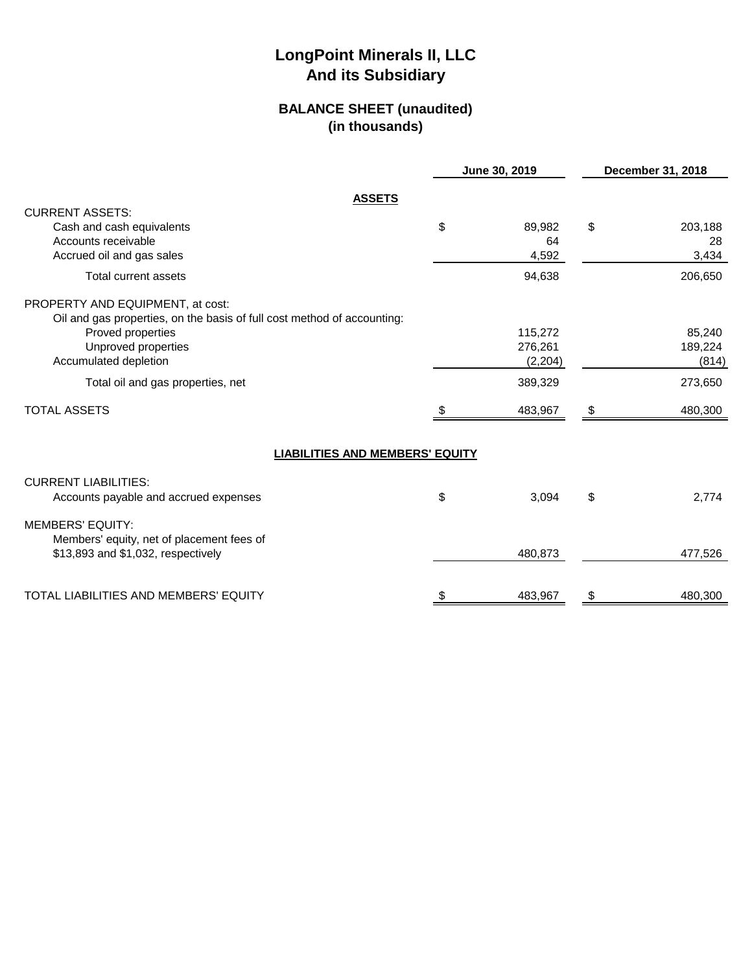## **BALANCE SHEET (unaudited) (in thousands)**

|                                                                                                             | June 30, 2019 |    | December 31, 2018 |
|-------------------------------------------------------------------------------------------------------------|---------------|----|-------------------|
| <b>ASSETS</b>                                                                                               |               |    |                   |
| <b>CURRENT ASSETS:</b><br>Cash and cash equivalents                                                         | \$<br>89,982  | \$ | 203,188           |
| Accounts receivable<br>Accrued oil and gas sales                                                            | 64<br>4,592   |    | 28<br>3,434       |
| Total current assets                                                                                        | 94,638        |    | 206,650           |
| PROPERTY AND EQUIPMENT, at cost:<br>Oil and gas properties, on the basis of full cost method of accounting: |               |    |                   |
| Proved properties                                                                                           | 115,272       |    | 85,240            |
| Unproved properties                                                                                         | 276,261       |    | 189,224           |
| Accumulated depletion                                                                                       | (2,204)       |    | (814)             |
| Total oil and gas properties, net                                                                           | 389,329       |    | 273,650           |
| <b>TOTAL ASSETS</b>                                                                                         | 483,967       | \$ | 480,300           |
| <b>LIABILITIES AND MEMBERS' EQUITY</b>                                                                      |               |    |                   |
| <b>CURRENT LIABILITIES:</b>                                                                                 |               |    |                   |
| Accounts payable and accrued expenses                                                                       | \$<br>3,094   | \$ | 2,774             |
| <b>MEMBERS' EQUITY:</b><br>Members' equity, net of placement fees of                                        |               |    |                   |
| \$13,893 and \$1,032, respectively                                                                          | 480,873       |    | 477,526           |
| TOTAL LIABILITIES AND MEMBERS' EQUITY                                                                       | \$<br>483,967 | \$ | 480,300           |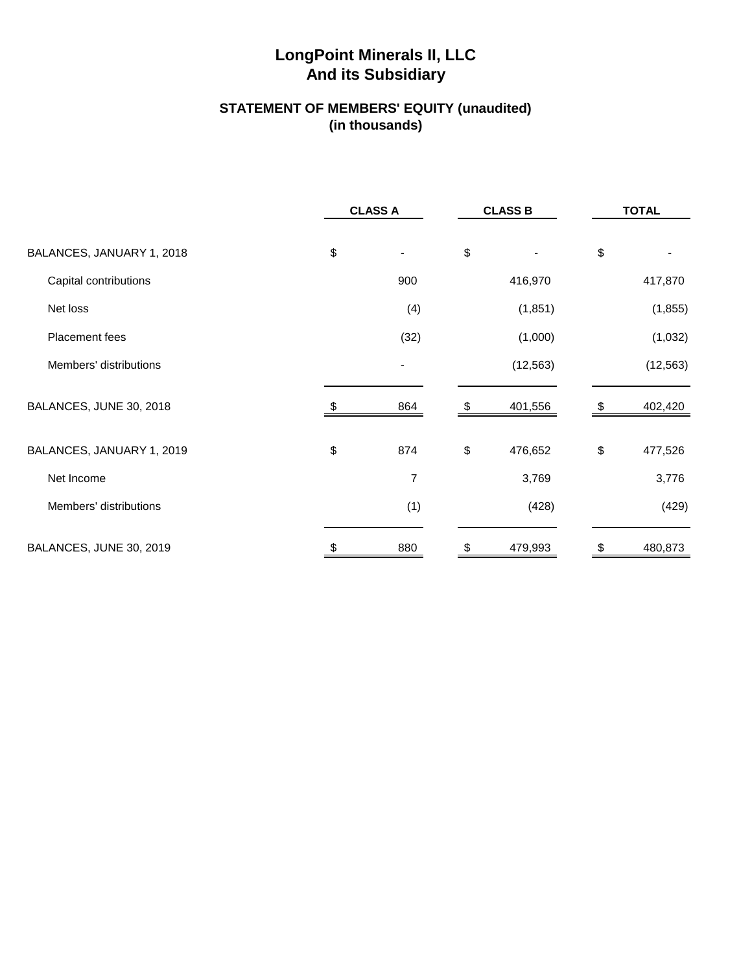# **And its Subsidiary LongPoint Minerals II, LLC**

## **STATEMENT OF MEMBERS' EQUITY (unaudited) (in thousands)**

|                           | <b>CLASS A</b> |            | <b>CLASS B</b> |                   | <b>TOTAL</b> |
|---------------------------|----------------|------------|----------------|-------------------|--------------|
| BALANCES, JANUARY 1, 2018 | \$             | \$         |                | \$                |              |
| Capital contributions     | 900            |            | 416,970        |                   | 417,870      |
| Net loss                  | (4)            |            | (1, 851)       |                   | (1, 855)     |
| Placement fees            | (32)           |            | (1,000)        |                   | (1,032)      |
| Members' distributions    | $\blacksquare$ |            | (12, 563)      |                   | (12, 563)    |
| BALANCES, JUNE 30, 2018   | 864            |            | 401,556        |                   | 402,420      |
| BALANCES, JANUARY 1, 2019 | \$<br>874      | $\, \, \$$ | 476,652        | $\boldsymbol{\$}$ | 477,526      |
| Net Income                | 7              |            | 3,769          |                   | 3,776        |
| Members' distributions    | (1)            |            | (428)          |                   | (429)        |
| BALANCES, JUNE 30, 2019   | 880            |            | 479,993        |                   | 480,873      |